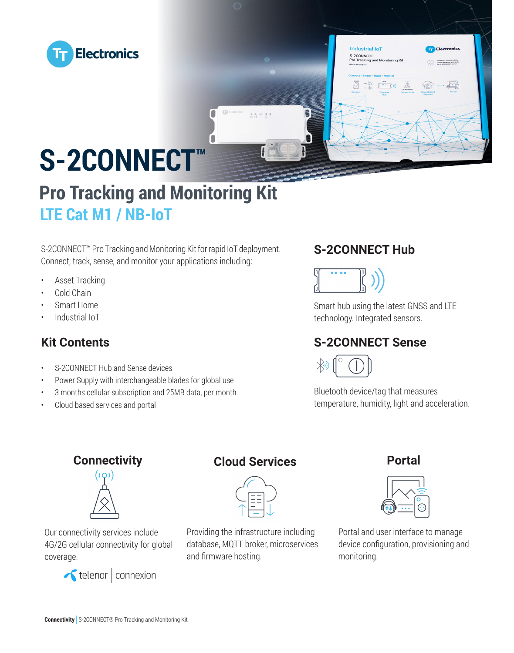



# **S-2CONNECT™**

# **Pro Tracking and Monitoring Kit LTE Cat M1 / NB-IoT**

S-2CONNECT™ Pro Tracking and Monitoring Kit for rapid IoT deployment. Connect, track, sense, and monitor your applications including:

- Asset Tracking
- Cold Chain
- Smart Home
- Industrial IoT

## **Kit Contents**

- S-2CONNECT Hub and Sense devices
- Power Supply with interchangeable blades for global use
- 3 months cellular subscription and 25MB data, per month
- Cloud based services and portal

## **S-2CONNECT Hub**



Smart hub using the latest GNSS and LTE technology. Integrated sensors.

## **S-2CONNECT Sense**



Bluetooth device/tag that measures temperature, humidity, light and acceleration.

# ((ဝ)



Our connectivity services include 4G/2G cellular connectivity for global coverage.



## **Connectivity Cloud Services**

Providing the infrastructure including database, MQTT broker, microservices and firmware hosting.

#### **Portal**



Portal and user interface to manage device configuration, provisioning and monitoring.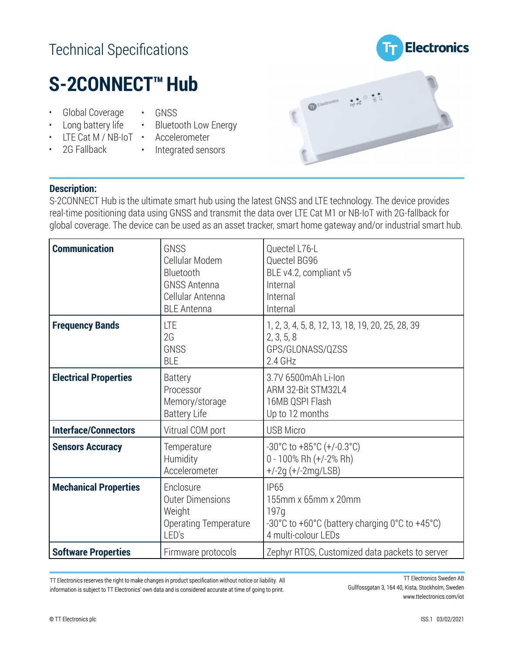## Technical Specifications

# **Electronics**

# **S-2CONNECT™Hub**

- Global Coverage • Long battery life
- Bluetooth Low Energy
- LTE Cat M / NB-IoT • Accelerometer

• GNSS

- 2G Fallback
- 
- Integrated sensors



#### **Description:**

S-2CONNECT Hub is the ultimate smart hub using the latest GNSS and LTE technology. The device provides real-time positioning data using GNSS and transmit the data over LTE Cat M1 or NB-IoT with 2G-fallback for global coverage. The device can be used as an asset tracker, smart home gateway and/or industrial smart hub.

| <b>Communication</b>         | GNSS<br>Cellular Modem<br>Bluetooth<br><b>GNSS Antenna</b><br>Cellular Antenna<br><b>BLE Antenna</b> | Quectel L76-L<br>Quectel BG96<br>BLE v4.2, compliant v5<br>Internal<br>Internal<br>Internal                         |
|------------------------------|------------------------------------------------------------------------------------------------------|---------------------------------------------------------------------------------------------------------------------|
| <b>Frequency Bands</b>       | LTE<br>2G<br><b>GNSS</b><br><b>BLE</b>                                                               | 1, 2, 3, 4, 5, 8, 12, 13, 18, 19, 20, 25, 28, 39<br>2, 3, 5, 8<br>GPS/GLONASS/QZSS<br>$2.4$ GHz                     |
| <b>Electrical Properties</b> | <b>Battery</b><br>Processor<br>Memory/storage<br><b>Battery Life</b>                                 | 3.7V 6500mAh Li-Ion<br>ARM 32-Bit STM32L4<br>16MB QSPI Flash<br>Up to 12 months                                     |
| <b>Interface/Connectors</b>  | Vitrual COM port                                                                                     | <b>USB Micro</b>                                                                                                    |
| <b>Sensors Accuracy</b>      | Temperature<br>Humidity<br>Accelerometer                                                             | $-30^{\circ}$ C to $+85^{\circ}$ C ( $+/-0.3^{\circ}$ C)<br>$0 - 100\%$ Rh $(+/-2\%$ Rh)<br>$+/-2g (+/-2mg/LSB)$    |
| <b>Mechanical Properties</b> | Enclosure<br><b>Outer Dimensions</b><br>Weight<br><b>Operating Temperature</b><br>LED's              | <b>IP65</b><br>155mm x 65mm x 20mm<br>197q<br>-30°C to +60°C (battery charging 0°C to +45°C)<br>4 multi-colour LEDs |
| <b>Software Properties</b>   | Firmware protocols                                                                                   | Zephyr RTOS, Customized data packets to server                                                                      |

TT Electronics reserves the right to make changes in product specification without notice or liability. All information is subject to TT Electronics' own data and is considered accurate at time of going to print.